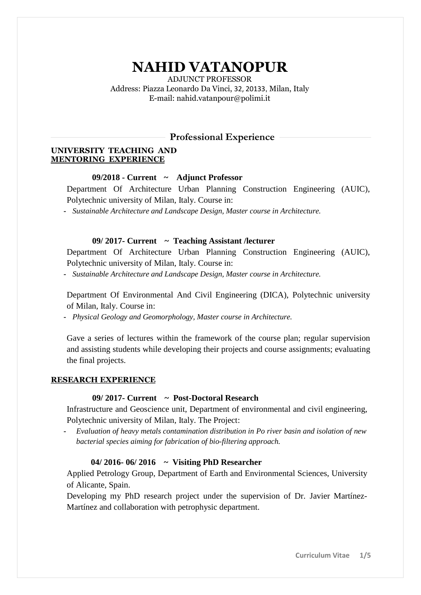# **NAHID VATANOPUR**

ADJUNCT PROFESSOR Address: Piazza Leonardo Da Vinci, 32, 20133, Milan, Italy [E-mail: nahid.vatanpour@polimi.it](mailto:nahid.vatanpour@polimi.it)

### **Professional Experience**

#### **UNIVERSITY TEACHING AND MENTORING EXPERIENCE**

#### **09/2018 - Current ~ Adjunct Professor**

Department Of Architecture Urban Planning Construction Engineering (AUIC), Polytechnic university of Milan, Italy. Course in:

**-** *Sustainable Architecture and Landscape Design, Master course in Architecture.*

#### **09/ 2017- Current ~ Teaching Assistant /lecturer**

Department Of Architecture Urban Planning Construction Engineering (AUIC), Polytechnic university of Milan, Italy. Course in:

**-** *Sustainable Architecture and Landscape Design, Master course in Architecture.*

Department Of Environmental And Civil Engineering (DICA), Polytechnic university of Milan, Italy. Course in:

**-** *Physical Geology and Geomorphology, Master course in Architecture.*

Gave a series of lectures within the framework of the course plan; regular supervision and assisting students while developing their projects and course assignments; evaluating the final projects.

#### **RESEARCH EXPERIENCE**

### **09/ 2017- Current ~ Post-Doctoral Research**

Infrastructure and Geoscience unit, Department of environmental and civil engineering, Polytechnic university of Milan, Italy. The Project:

**-** *Evaluation of heavy metals contamination distribution in Po river basin and isolation of new bacterial species aiming for fabrication of bio-filtering approach.*

#### **04/ 2016- 06/ 2016 ~ Visiting PhD Researcher**

Applied Petrology Group, Department of Earth and Environmental Sciences, University of Alicante, Spain.

Developing my PhD research project under the supervision of Dr. Javier Martínez-Martínez and collaboration with petrophysic department.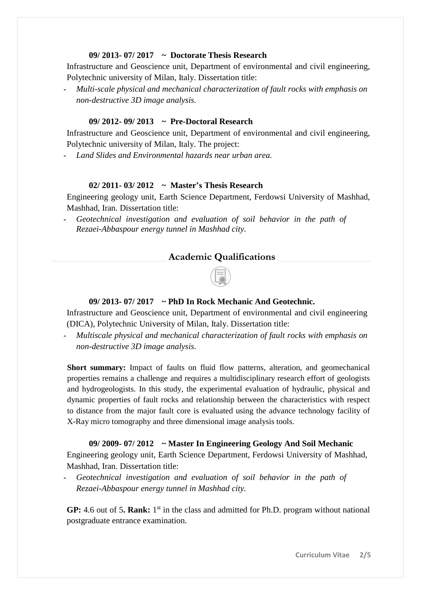# **09/ 2013- 07/ 2017 ~ Doctorate Thesis Research**

Infrastructure and Geoscience unit, Department of environmental and civil engineering, Polytechnic university of Milan, Italy. Dissertation title:

**-** *Multi-scale physical and mechanical characterization of fault rocks with emphasis on non-destructive 3D image analysis.*

# **09/ 2012- 09/ 2013 ~ Pre-Doctoral Research**

Infrastructure and Geoscience unit, Department of environmental and civil engineering, Polytechnic university of Milan, Italy. The project:

**-** *Land Slides and Environmental hazards near urban area.*

# **02/ 2011- 03/ 2012 ~ Master's Thesis Research**

Engineering geology unit, Earth Science Department, Ferdowsi University of Mashhad, Mashhad, Iran. Dissertation title:

**-** *Geotechnical investigation and evaluation of soil behavior in the path of Rezaei-Abbaspour energy tunnel in Mashhad city.*

# **Academic Qualifications**



### **09/ 2013- 07/ 2017 ~ PhD In Rock Mechanic And Geotechnic.**

Infrastructure and Geoscience unit, Department of environmental and civil engineering (DICA), Polytechnic University of Milan, Italy. Dissertation title:

**-** *Multiscale physical and mechanical characterization of fault rocks with emphasis on non-destructive 3D image analysis.*

**Short summary:** Impact of faults on fluid flow patterns, alteration, and geomechanical properties remains a challenge and requires a multidisciplinary research effort of geologists and hydrogeologists. In this study, the experimental evaluation of hydraulic, physical and dynamic properties of fault rocks and relationship between the characteristics with respect to distance from the major fault core is evaluated using the advance technology facility of X-Ray micro tomography and three dimensional image analysis tools.

**09/ 2009- 07/ 2012 ~ Master In Engineering Geology And Soil Mechanic**  Engineering geology unit, Earth Science Department, Ferdowsi University of Mashhad, Mashhad, Iran. Dissertation title:

**-** *Geotechnical investigation and evaluation of soil behavior in the path of Rezaei-Abbaspour energy tunnel in Mashhad city.*

GP: 4.6 out of 5. Rank: 1<sup>st</sup> in the class and admitted for Ph.D. program without national postgraduate entrance examination.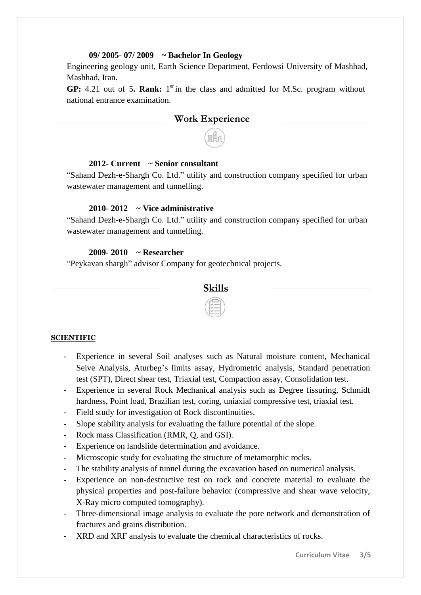#### **09/ 2005- 07/ 2009 ~ Bachelor In Geology**

Engineering geology unit, Earth Science Department, Ferdowsi University of Mashhad, Mashhad, Iran.

GP: 4.21 out of 5. Rank: 1<sup>st</sup> in the class and admitted for M.Sc. program without national entrance examination.

# **Work Experience**

## **2012- Current ~ Senior consultant**

"Sahand Dezh-e-Shargh Co. Ltd." utility and construction company specified for urban wastewater management and tunnelling.

#### **2010- 2012 ~ Vice administrative**

"Sahand Dezh-e-Shargh Co. Ltd." utility and construction company specified for urban wastewater management and tunnelling.

# **2009- 2010 ~ Researcher**

"Peykavan shargh" advisor Company for geotechnical projects.



# **SCIENTIFIC**

- **-** Experience in several Soil analyses such as Natural moisture content, Mechanical Seive Analysis, Aturbeg's limits assay, Hydrometric analysis, Standard penetration test (SPT), Direct shear test, Triaxial test, Compaction assay, Consolidation test.
- **-** Experience in several Rock Mechanical analysis such as Degree fissuring, Schmidt hardness, Point load, Brazilian test, coring, uniaxial compressive test, triaxial test.
- **-** Field study for investigation of Rock discontinuities.
- **-** Slope stability analysis for evaluating the failure potential of the slope.
- **-** Rock mass Classification (RMR, Q, and GSI).
- **-** Experience on landslide determination and avoidance.
- **-** Microscopic study for evaluating the structure of metamorphic rocks.
- **-** The stability analysis of tunnel during the excavation based on numerical analysis.
- Experience on non-destructive test on rock and concrete material to evaluate the physical properties and post-failure behavior (compressive and shear wave velocity, X-Ray micro computed tomography).
- **-** Three-dimensional image analysis to evaluate the pore network and demonstration of fractures and grains distribution.
- **-** XRD and XRF analysis to evaluate the chemical characteristics of rocks.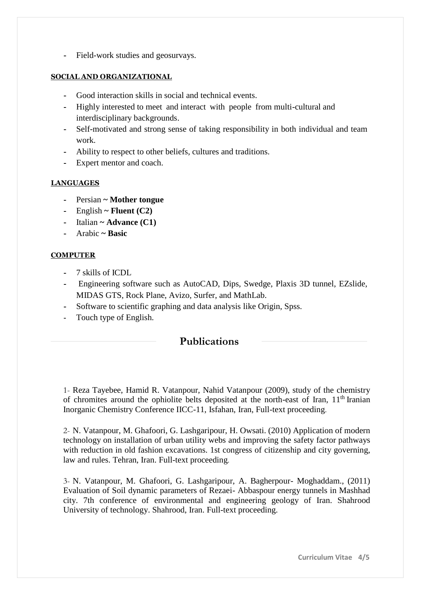**-** Field-work studies and geosurvays.

# **SOCIAL AND ORGANIZATIONAL**

- **-** Good interaction skills in social and technical events.
- **-** Highly interested to meet and interact with people from multi-cultural and interdisciplinary backgrounds.
- **-** Self-motivated and strong sense of taking responsibility in both individual and team work.
- **-** Ability to respect to other beliefs, cultures and traditions.
- **-** Expert mentor and coach.

# **LANGUAGES**

- **-** Persian **~ Mother tongue**
- **-** English **~ Fluent (C2)**
- **-** Italian **~ Advance (C1)**
- **-** Arabic **~ Basic**

# **COMPUTER**

- **-** 7 skills of ICDL
- **-** Engineering software such as AutoCAD, Dips, Swedge, Plaxis 3D tunnel, EZslide, MIDAS GTS, Rock Plane, Avizo, Surfer, and MathLab.
- **-** Software to scientific graphing and data analysis like Origin, Spss.
- **-** Touch type of English.

# **Publications**

1- Reza Tayebee, Hamid R. Vatanpour, Nahid Vatanpour (2009), study of the chemistry of chromites around the ophiolite belts deposited at the north-east of Iran,  $11<sup>th</sup>$  Iranian Inorganic Chemistry Conference IICC-11, Isfahan, Iran, Full-text proceeding.

2- N. Vatanpour, M. Ghafoori, G. Lashgaripour, H. Owsati. (2010) Application of modern technology on installation of urban utility webs and improving the safety factor pathways with reduction in old fashion excavations. 1st congress of citizenship and city governing, law and rules. Tehran, Iran. Full-text proceeding.

3- N. Vatanpour, M. Ghafoori, G. Lashgaripour, A. Bagherpour- Moghaddam., (2011) Evaluation of Soil dynamic parameters of Rezaei- Abbaspour energy tunnels in Mashhad city. 7th conference of environmental and engineering geology of Iran. Shahrood University of technology. Shahrood, Iran. Full-text proceeding.